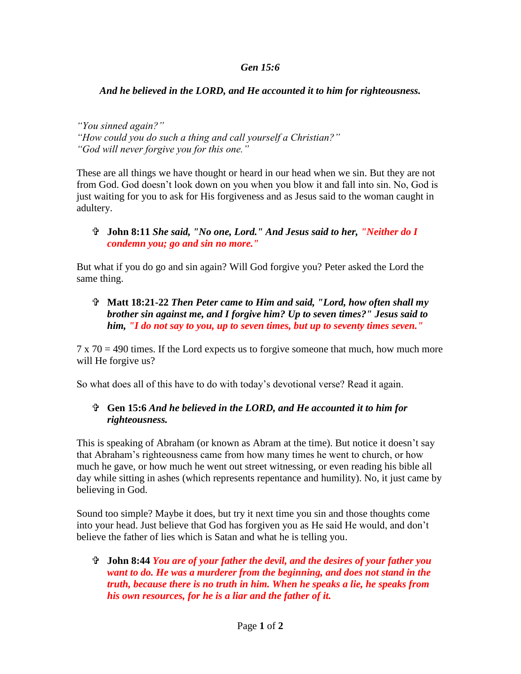## *Gen 15:6*

## *And he believed in the LORD, and He accounted it to him for righteousness.*

*"You sinned again?" "How could you do such a thing and call yourself a Christian?" "God will never forgive you for this one."*

These are all things we have thought or heard in our head when we sin. But they are not from God. God doesn't look down on you when you blow it and fall into sin. No, God is just waiting for you to ask for His forgiveness and as Jesus said to the woman caught in adultery.

## **John 8:11** *She said, "No one, Lord." And Jesus said to her, "Neither do I condemn you; go and sin no more."*

But what if you do go and sin again? Will God forgive you? Peter asked the Lord the same thing.

 **Matt 18:21-22** *Then Peter came to Him and said, "Lord, how often shall my brother sin against me, and I forgive him? Up to seven times?" Jesus said to him, "I do not say to you, up to seven times, but up to seventy times seven."*

 $7 \times 70 = 490$  times. If the Lord expects us to forgive someone that much, how much more will He forgive us?

So what does all of this have to do with today's devotional verse? Read it again.

## **Gen 15:6** *And he believed in the LORD, and He accounted it to him for righteousness.*

This is speaking of Abraham (or known as Abram at the time). But notice it doesn't say that Abraham's righteousness came from how many times he went to church, or how much he gave, or how much he went out street witnessing, or even reading his bible all day while sitting in ashes (which represents repentance and humility). No, it just came by believing in God.

Sound too simple? Maybe it does, but try it next time you sin and those thoughts come into your head. Just believe that God has forgiven you as He said He would, and don't believe the father of lies which is Satan and what he is telling you.

 **John 8:44** *You are of your father the devil, and the desires of your father you want to do. He was a murderer from the beginning, and does not stand in the truth, because there is no truth in him. When he speaks a lie, he speaks from his own resources, for he is a liar and the father of it.*